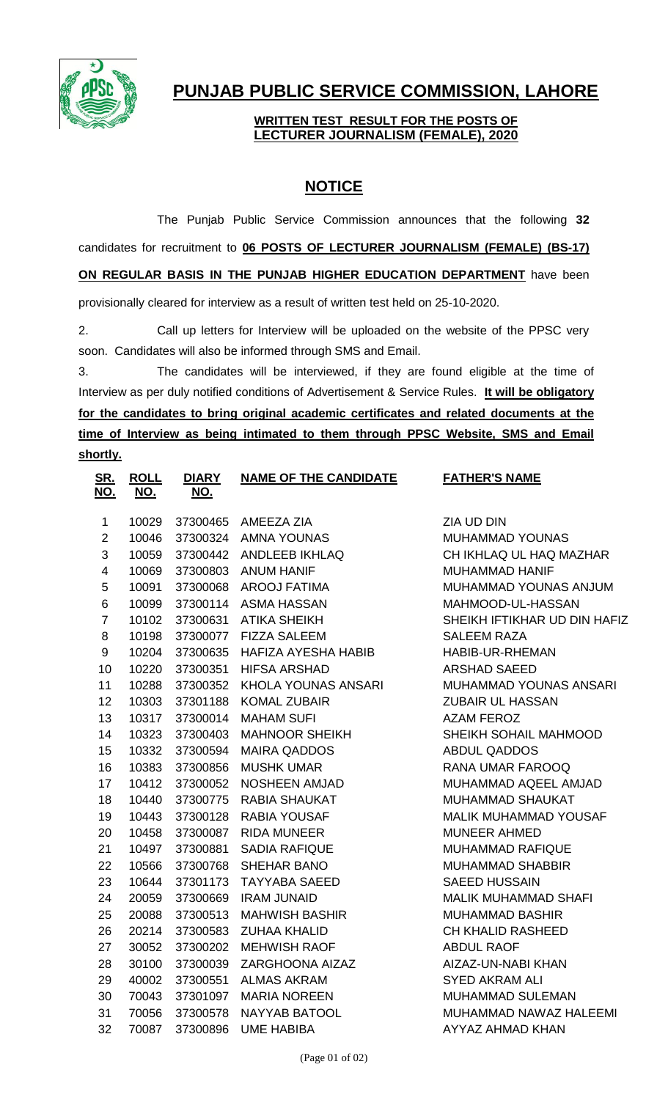

## **PUNJAB PUBLIC SERVICE COMMISSION, LAHORE**

## **WRITTEN TEST RESULT FOR THE POSTS OF LECTURER JOURNALISM (FEMALE), 2020**

## **NOTICE**

The Punjab Public Service Commission announces that the following **32** candidates for recruitment to **06 POSTS OF LECTURER JOURNALISM (FEMALE) (BS-17) ON REGULAR BASIS IN THE PUNJAB HIGHER EDUCATION DEPARTMENT** have been provisionally cleared for interview as a result of written test held on 25-10-2020.

2. Call up letters for Interview will be uploaded on the website of the PPSC very soon. Candidates will also be informed through SMS and Email.

3. The candidates will be interviewed, if they are found eligible at the time of Interview as per duly notified conditions of Advertisement & Service Rules. **It will be obligatory for the candidates to bring original academic certificates and related documents at the time of Interview as being intimated to them through PPSC Website, SMS and Email shortly.**

| <u>SR.</u><br><u>NO.</u> | <b>ROLL</b> | <b>DIARY</b> | <b>NAME OF THE CANDIDATE</b> | <b>FATHER'S NAME</b>         |
|--------------------------|-------------|--------------|------------------------------|------------------------------|
|                          | <u>NO.</u>  | <u>NO.</u>   |                              |                              |
| $\mathbf{1}$             | 10029       |              | 37300465 AMEEZA ZIA          | ZIA UD DIN                   |
| $\overline{2}$           | 10046       |              | 37300324 AMNA YOUNAS         | MUHAMMAD YOUNAS              |
| 3                        | 10059       | 37300442     | ANDLEEB IKHLAQ               | CH IKHLAQ UL HAQ MAZHAR      |
| $\overline{\mathbf{4}}$  | 10069       | 37300803     | <b>ANUM HANIF</b>            | <b>MUHAMMAD HANIF</b>        |
| $\sqrt{5}$               | 10091       | 37300068     | <b>AROOJ FATIMA</b>          | MUHAMMAD YOUNAS ANJUM        |
| 6                        | 10099       |              | 37300114 ASMA HASSAN         | MAHMOOD-UL-HASSAN            |
| $\overline{7}$           | 10102       | 37300631     | <b>ATIKA SHEIKH</b>          | SHEIKH IFTIKHAR UD DIN HAFIZ |
| 8                        | 10198       | 37300077     | <b>FIZZA SALEEM</b>          | <b>SALEEM RAZA</b>           |
| $\boldsymbol{9}$         | 10204       | 37300635     | HAFIZA AYESHA HABIB          | HABIB-UR-RHEMAN              |
| 10                       | 10220       | 37300351     | <b>HIFSA ARSHAD</b>          | <b>ARSHAD SAEED</b>          |
| 11                       | 10288       | 37300352     | KHOLA YOUNAS ANSARI          | MUHAMMAD YOUNAS ANSARI       |
| 12                       | 10303       | 37301188     | <b>KOMAL ZUBAIR</b>          | <b>ZUBAIR UL HASSAN</b>      |
| 13                       | 10317       | 37300014     | <b>MAHAM SUFI</b>            | <b>AZAM FEROZ</b>            |
| 14                       | 10323       | 37300403     | <b>MAHNOOR SHEIKH</b>        | SHEIKH SOHAIL MAHMOOD        |
| 15                       | 10332       | 37300594     | <b>MAIRA QADDOS</b>          | <b>ABDUL QADDOS</b>          |
| 16                       | 10383       | 37300856     | <b>MUSHK UMAR</b>            | <b>RANA UMAR FAROOQ</b>      |
| 17                       | 10412       | 37300052     | NOSHEEN AMJAD                | MUHAMMAD AQEEL AMJAD         |
| 18                       | 10440       | 37300775     | <b>RABIA SHAUKAT</b>         | MUHAMMAD SHAUKAT             |
| 19                       | 10443       | 37300128     | <b>RABIA YOUSAF</b>          | <b>MALIK MUHAMMAD YOUSAF</b> |
| 20                       | 10458       | 37300087     | <b>RIDA MUNEER</b>           | <b>MUNEER AHMED</b>          |
| 21                       | 10497       | 37300881     | <b>SADIA RAFIQUE</b>         | MUHAMMAD RAFIQUE             |
| 22                       | 10566       | 37300768     | SHEHAR BANO                  | <b>MUHAMMAD SHABBIR</b>      |
| 23                       | 10644       | 37301173     | <b>TAYYABA SAEED</b>         | <b>SAEED HUSSAIN</b>         |
| 24                       | 20059       | 37300669     | <b>IRAM JUNAID</b>           | <b>MALIK MUHAMMAD SHAFI</b>  |
| 25                       | 20088       | 37300513     | <b>MAHWISH BASHIR</b>        | <b>MUHAMMAD BASHIR</b>       |
| 26                       | 20214       | 37300583     | <b>ZUHAA KHALID</b>          | <b>CH KHALID RASHEED</b>     |
| 27                       | 30052       | 37300202     | <b>MEHWISH RAOF</b>          | <b>ABDUL RAOF</b>            |
| 28                       | 30100       | 37300039     | ZARGHOONA AIZAZ              | AIZAZ-UN-NABI KHAN           |
| 29                       | 40002       | 37300551     | <b>ALMAS AKRAM</b>           | <b>SYED AKRAM ALI</b>        |
| 30                       | 70043       | 37301097     | <b>MARIA NOREEN</b>          | <b>MUHAMMAD SULEMAN</b>      |
| 31                       | 70056       | 37300578     | NAYYAB BATOOL                | MUHAMMAD NAWAZ HALEEMI       |
| 32                       | 70087       | 37300896     | <b>UME HABIBA</b>            | <b>AYYAZ AHMAD KHAN</b>      |